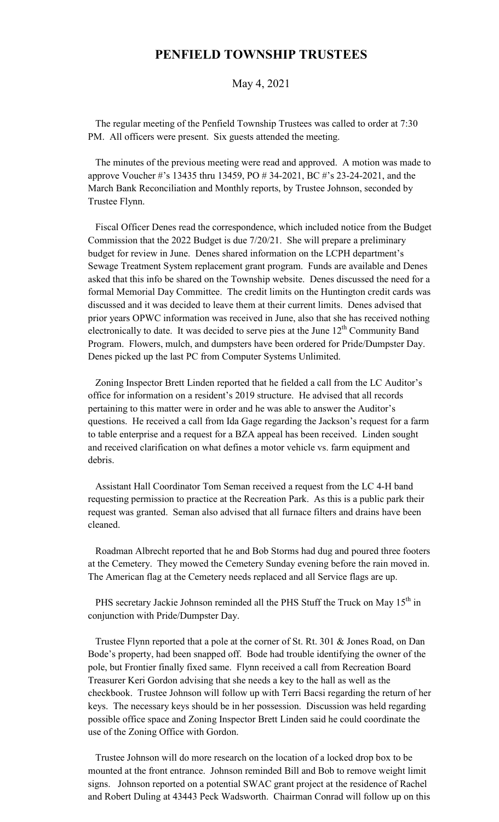## **PENFIELD TOWNSHIP TRUSTEES**

## May 4, 2021

 The regular meeting of the Penfield Township Trustees was called to order at 7:30 PM. All officers were present. Six guests attended the meeting.

 The minutes of the previous meeting were read and approved. A motion was made to approve Voucher #'s 13435 thru 13459, PO # 34-2021, BC #'s 23-24-2021, and the March Bank Reconciliation and Monthly reports, by Trustee Johnson, seconded by Trustee Flynn.

 Fiscal Officer Denes read the correspondence, which included notice from the Budget Commission that the 2022 Budget is due 7/20/21. She will prepare a preliminary budget for review in June. Denes shared information on the LCPH department's Sewage Treatment System replacement grant program. Funds are available and Denes asked that this info be shared on the Township website. Denes discussed the need for a formal Memorial Day Committee. The credit limits on the Huntington credit cards was discussed and it was decided to leave them at their current limits. Denes advised that prior years OPWC information was received in June, also that she has received nothing electronically to date. It was decided to serve pies at the June  $12<sup>th</sup>$  Community Band Program. Flowers, mulch, and dumpsters have been ordered for Pride/Dumpster Day. Denes picked up the last PC from Computer Systems Unlimited.

 Zoning Inspector Brett Linden reported that he fielded a call from the LC Auditor's office for information on a resident's 2019 structure. He advised that all records pertaining to this matter were in order and he was able to answer the Auditor's questions. He received a call from Ida Gage regarding the Jackson's request for a farm to table enterprise and a request for a BZA appeal has been received. Linden sought and received clarification on what defines a motor vehicle vs. farm equipment and debris.

 Assistant Hall Coordinator Tom Seman received a request from the LC 4-H band requesting permission to practice at the Recreation Park. As this is a public park their request was granted. Seman also advised that all furnace filters and drains have been cleaned.

 Roadman Albrecht reported that he and Bob Storms had dug and poured three footers at the Cemetery. They mowed the Cemetery Sunday evening before the rain moved in. The American flag at the Cemetery needs replaced and all Service flags are up.

PHS secretary Jackie Johnson reminded all the PHS Stuff the Truck on May 15<sup>th</sup> in conjunction with Pride/Dumpster Day.

 Trustee Flynn reported that a pole at the corner of St. Rt. 301 & Jones Road, on Dan Bode's property, had been snapped off. Bode had trouble identifying the owner of the pole, but Frontier finally fixed same. Flynn received a call from Recreation Board Treasurer Keri Gordon advising that she needs a key to the hall as well as the checkbook. Trustee Johnson will follow up with Terri Bacsi regarding the return of her keys. The necessary keys should be in her possession. Discussion was held regarding possible office space and Zoning Inspector Brett Linden said he could coordinate the use of the Zoning Office with Gordon.

 Trustee Johnson will do more research on the location of a locked drop box to be mounted at the front entrance. Johnson reminded Bill and Bob to remove weight limit signs. Johnson reported on a potential SWAC grant project at the residence of Rachel and Robert Duling at 43443 Peck Wadsworth. Chairman Conrad will follow up on this